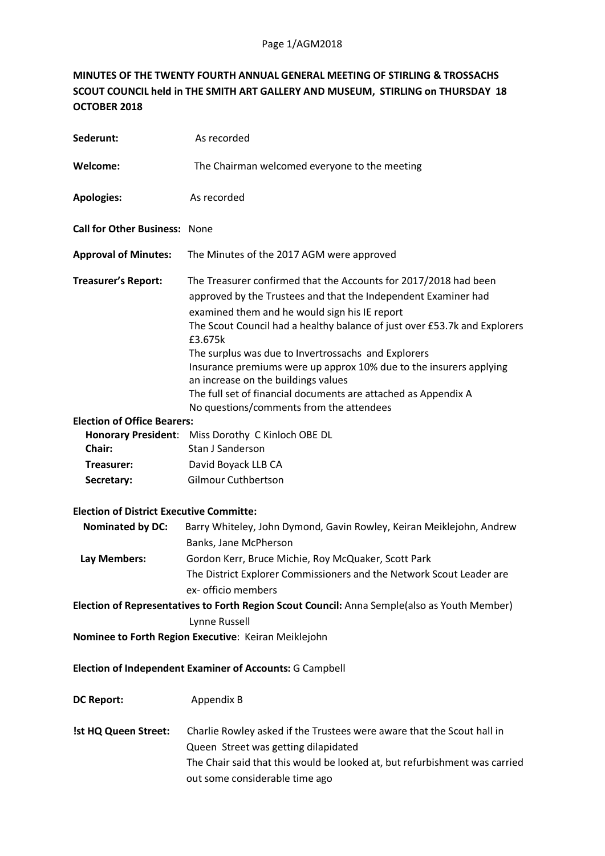## **MINUTES OF THE TWENTY FOURTH ANNUAL GENERAL MEETING OF STIRLING & TROSSACHS SCOUT COUNCIL held in THE SMITH ART GALLERY AND MUSEUM, STIRLING on THURSDAY 18 OCTOBER 2018**

| Sederunt:                                                                                    | As recorded                                                                                                                                                                                                                                                                                                                                                                                                                                                                                                                                                   |
|----------------------------------------------------------------------------------------------|---------------------------------------------------------------------------------------------------------------------------------------------------------------------------------------------------------------------------------------------------------------------------------------------------------------------------------------------------------------------------------------------------------------------------------------------------------------------------------------------------------------------------------------------------------------|
| Welcome:                                                                                     | The Chairman welcomed everyone to the meeting                                                                                                                                                                                                                                                                                                                                                                                                                                                                                                                 |
| <b>Apologies:</b>                                                                            | As recorded                                                                                                                                                                                                                                                                                                                                                                                                                                                                                                                                                   |
| <b>Call for Other Business: None</b>                                                         |                                                                                                                                                                                                                                                                                                                                                                                                                                                                                                                                                               |
| <b>Approval of Minutes:</b>                                                                  | The Minutes of the 2017 AGM were approved                                                                                                                                                                                                                                                                                                                                                                                                                                                                                                                     |
| <b>Treasurer's Report:</b>                                                                   | The Treasurer confirmed that the Accounts for 2017/2018 had been<br>approved by the Trustees and that the Independent Examiner had<br>examined them and he would sign his IE report<br>The Scout Council had a healthy balance of just over £53.7k and Explorers<br>£3.675k<br>The surplus was due to Invertrossachs and Explorers<br>Insurance premiums were up approx 10% due to the insurers applying<br>an increase on the buildings values<br>The full set of financial documents are attached as Appendix A<br>No questions/comments from the attendees |
| <b>Election of Office Bearers:</b>                                                           |                                                                                                                                                                                                                                                                                                                                                                                                                                                                                                                                                               |
|                                                                                              | Honorary President: Miss Dorothy C Kinloch OBE DL                                                                                                                                                                                                                                                                                                                                                                                                                                                                                                             |
| Chair:                                                                                       | Stan J Sanderson                                                                                                                                                                                                                                                                                                                                                                                                                                                                                                                                              |
| Treasurer:                                                                                   | David Boyack LLB CA                                                                                                                                                                                                                                                                                                                                                                                                                                                                                                                                           |
| Secretary:                                                                                   | <b>Gilmour Cuthbertson</b>                                                                                                                                                                                                                                                                                                                                                                                                                                                                                                                                    |
| <b>Election of District Executive Committe:</b>                                              |                                                                                                                                                                                                                                                                                                                                                                                                                                                                                                                                                               |
| <b>Nominated by DC:</b>                                                                      | Barry Whiteley, John Dymond, Gavin Rowley, Keiran Meiklejohn, Andrew                                                                                                                                                                                                                                                                                                                                                                                                                                                                                          |
|                                                                                              | Banks, Jane McPherson                                                                                                                                                                                                                                                                                                                                                                                                                                                                                                                                         |
| Lay Members:                                                                                 | Gordon Kerr, Bruce Michie, Roy McQuaker, Scott Park                                                                                                                                                                                                                                                                                                                                                                                                                                                                                                           |
|                                                                                              | The District Explorer Commissioners and the Network Scout Leader are                                                                                                                                                                                                                                                                                                                                                                                                                                                                                          |
|                                                                                              | ex- officio members                                                                                                                                                                                                                                                                                                                                                                                                                                                                                                                                           |
| Election of Representatives to Forth Region Scout Council: Anna Semple(also as Youth Member) |                                                                                                                                                                                                                                                                                                                                                                                                                                                                                                                                                               |
|                                                                                              | Lynne Russell                                                                                                                                                                                                                                                                                                                                                                                                                                                                                                                                                 |
| Nominee to Forth Region Executive: Keiran Meiklejohn                                         |                                                                                                                                                                                                                                                                                                                                                                                                                                                                                                                                                               |
| Election of Independent Examiner of Accounts: G Campbell                                     |                                                                                                                                                                                                                                                                                                                                                                                                                                                                                                                                                               |
| <b>DC Report:</b>                                                                            | Appendix B                                                                                                                                                                                                                                                                                                                                                                                                                                                                                                                                                    |
| !st HQ Queen Street:                                                                         | Charlie Rowley asked if the Trustees were aware that the Scout hall in<br>Queen Street was getting dilapidated<br>The Chair said that this would be looked at, but refurbishment was carried<br>out some considerable time ago                                                                                                                                                                                                                                                                                                                                |